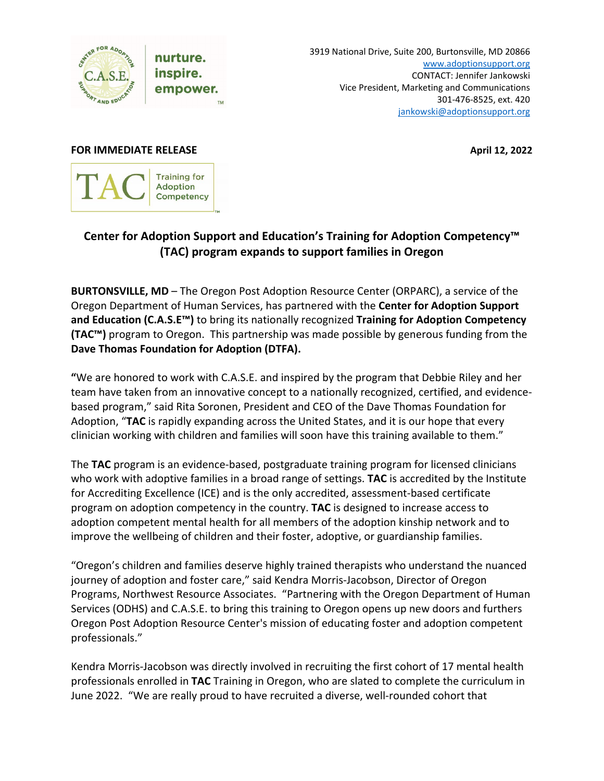

nurture. inspire. empower. 3919 National Drive, Suite 200, Burtonsville, MD 20866 [www.adoptionsupport.org](http://www.adoptionsupport.org/) CONTACT: Jennifer Jankowski Vice President, Marketing and Communications 301-476-8525, ext. 420 [jankowski@adoptionsupport.org](mailto:jankowski@adoptionsupport.org)

## **FOR IMMEDIATE RELEASE April 12, 2022**



## **Center for Adoption Support and Education's Training for Adoption Competency™ (TAC) program expands to support families in Oregon**

**BURTONSVILLE, MD** – The Oregon Post Adoption Resource Center (ORPARC), a service of the Oregon Department of Human Services, has partnered with the **Center for Adoption Support and Education (C.A.S.E™)** to bring its nationally recognized **Training for Adoption Competency (TAC™)** program to Oregon. This partnership was made possible by generous funding from the **Dave Thomas Foundation for Adoption (DTFA).** 

**"**We are honored to work with C.A.S.E. and inspired by the program that Debbie Riley and her team have taken from an innovative concept to a nationally recognized, certified, and evidencebased program," said Rita Soronen, President and CEO of the Dave Thomas Foundation for Adoption, "**TAC** is rapidly expanding across the United States, and it is our hope that every clinician working with children and families will soon have this training available to them."

The **TAC** program is an evidence-based, postgraduate training program for licensed clinicians who work with adoptive families in a broad range of settings. **TAC** is accredited by the Institute for Accrediting Excellence (ICE) and is the only accredited, assessment-based certificate program on adoption competency in the country. **TAC** is designed to increase access to adoption competent mental health for all members of the adoption kinship network and to improve the wellbeing of children and their foster, adoptive, or guardianship families.

"Oregon's children and families deserve highly trained therapists who understand the nuanced journey of adoption and foster care," said Kendra Morris-Jacobson, Director of Oregon Programs, Northwest Resource Associates. "Partnering with the Oregon Department of Human Services (ODHS) and C.A.S.E. to bring this training to Oregon opens up new doors and furthers Oregon Post Adoption Resource Center's mission of educating foster and adoption competent professionals."

Kendra Morris-Jacobson was directly involved in recruiting the first cohort of 17 mental health professionals enrolled in **TAC** Training in Oregon, who are slated to complete the curriculum in June 2022. "We are really proud to have recruited a diverse, well-rounded cohort that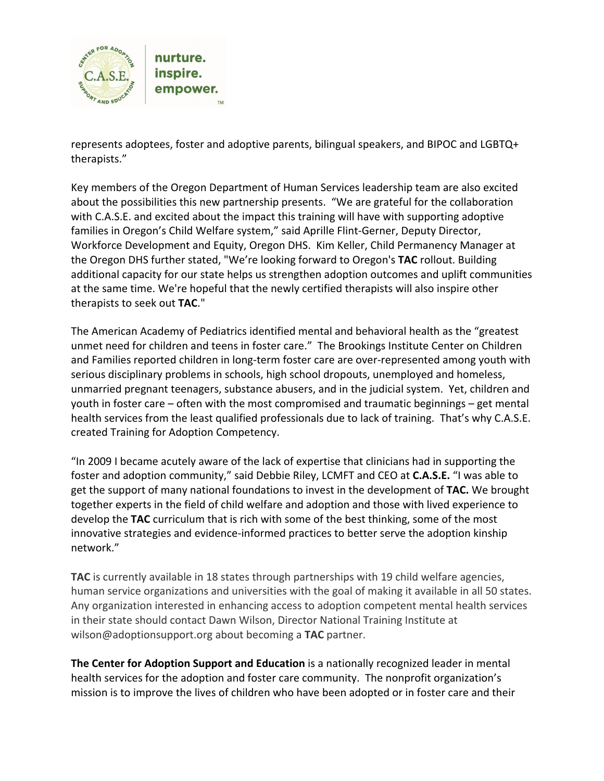

represents adoptees, foster and adoptive parents, bilingual speakers, and BIPOC and LGBTQ+ therapists."

Key members of the Oregon Department of Human Services leadership team are also excited about the possibilities this new partnership presents. "We are grateful for the collaboration with C.A.S.E. and excited about the impact this training will have with supporting adoptive families in Oregon's Child Welfare system," said Aprille Flint-Gerner, Deputy Director, Workforce Development and Equity, Oregon DHS. Kim Keller, Child Permanency Manager at the Oregon DHS further stated, "We're looking forward to Oregon's **TAC** rollout. Building additional capacity for our state helps us strengthen adoption outcomes and uplift communities at the same time. We're hopeful that the newly certified therapists will also inspire other therapists to seek out **TAC**."

The American Academy of Pediatrics identified mental and behavioral health as the "greatest unmet need for children and teens in foster care." The Brookings Institute Center on Children and Families reported children in long-term foster care are over-represented among youth with serious disciplinary problems in schools, high school dropouts, unemployed and homeless, unmarried pregnant teenagers, substance abusers, and in the judicial system. Yet, children and youth in foster care – often with the most compromised and traumatic beginnings – get mental health services from the least qualified professionals due to lack of training. That's why C.A.S.E. created Training for Adoption Competency.

"In 2009 I became acutely aware of the lack of expertise that clinicians had in supporting the foster and adoption community," said Debbie Riley, LCMFT and CEO at **C.A.S.E.** "I was able to get the support of many national foundations to invest in the development of **TAC.** We brought together experts in the field of child welfare and adoption and those with lived experience to develop the **TAC** curriculum that is rich with some of the best thinking, some of the most innovative strategies and evidence-informed practices to better serve the adoption kinship network."

**TAC** is currently available in 18 states through partnerships with 19 child welfare agencies, human service organizations and universities with the goal of making it available in all 50 states. Any organization interested in enhancing access to adoption competent mental health services in their state should contact Dawn Wilson, Director National Training Institute at wilson@adoptionsupport.org about becoming a **TAC** partner.

**The Center for Adoption Support and Education** is a nationally recognized leader in mental health services for the adoption and foster care community. The nonprofit organization's mission is to improve the lives of children who have been adopted or in foster care and their